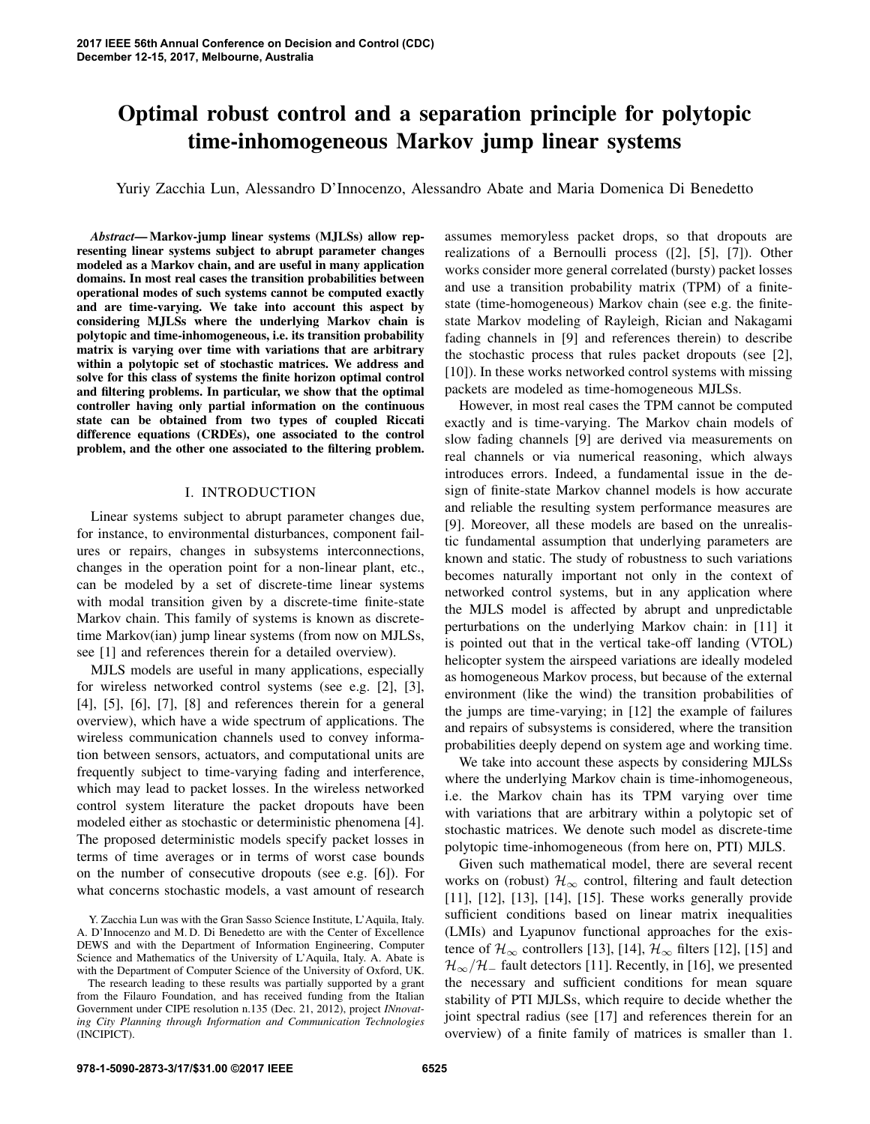# Optimal robust control and a separation principle for polytopic time-inhomogeneous Markov jump linear systems

Yuriy Zacchia Lun, Alessandro D'Innocenzo, Alessandro Abate and Maria Domenica Di Benedetto

*Abstract*— Markov-jump linear systems (MJLSs) allow representing linear systems subject to abrupt parameter changes modeled as a Markov chain, and are useful in many application domains. In most real cases the transition probabilities between operational modes of such systems cannot be computed exactly and are time-varying. We take into account this aspect by considering MJLSs where the underlying Markov chain is polytopic and time-inhomogeneous, i.e. its transition probability matrix is varying over time with variations that are arbitrary within a polytopic set of stochastic matrices. We address and solve for this class of systems the finite horizon optimal control and filtering problems. In particular, we show that the optimal controller having only partial information on the continuous state can be obtained from two types of coupled Riccati difference equations (CRDEs), one associated to the control problem, and the other one associated to the filtering problem.

## I. INTRODUCTION

Linear systems subject to abrupt parameter changes due, for instance, to environmental disturbances, component failures or repairs, changes in subsystems interconnections, changes in the operation point for a non-linear plant, etc., can be modeled by a set of discrete-time linear systems with modal transition given by a discrete-time finite-state Markov chain. This family of systems is known as discretetime Markov(ian) jump linear systems (from now on MJLSs, see [1] and references therein for a detailed overview).

MJLS models are useful in many applications, especially for wireless networked control systems (see e.g. [2], [3], [4], [5], [6], [7], [8] and references therein for a general overview), which have a wide spectrum of applications. The wireless communication channels used to convey information between sensors, actuators, and computational units are frequently subject to time-varying fading and interference, which may lead to packet losses. In the wireless networked control system literature the packet dropouts have been modeled either as stochastic or deterministic phenomena [4]. The proposed deterministic models specify packet losses in terms of time averages or in terms of worst case bounds on the number of consecutive dropouts (see e.g. [6]). For what concerns stochastic models, a vast amount of research assumes memoryless packet drops, so that dropouts are realizations of a Bernoulli process ([2], [5], [7]). Other works consider more general correlated (bursty) packet losses and use a transition probability matrix (TPM) of a finitestate (time-homogeneous) Markov chain (see e.g. the finitestate Markov modeling of Rayleigh, Rician and Nakagami fading channels in [9] and references therein) to describe the stochastic process that rules packet dropouts (see [2], [10]). In these works networked control systems with missing packets are modeled as time-homogeneous MJLSs.

However, in most real cases the TPM cannot be computed exactly and is time-varying. The Markov chain models of slow fading channels [9] are derived via measurements on real channels or via numerical reasoning, which always introduces errors. Indeed, a fundamental issue in the design of finite-state Markov channel models is how accurate and reliable the resulting system performance measures are [9]. Moreover, all these models are based on the unrealistic fundamental assumption that underlying parameters are known and static. The study of robustness to such variations becomes naturally important not only in the context of networked control systems, but in any application where the MJLS model is affected by abrupt and unpredictable perturbations on the underlying Markov chain: in [11] it is pointed out that in the vertical take-off landing (VTOL) helicopter system the airspeed variations are ideally modeled as homogeneous Markov process, but because of the external environment (like the wind) the transition probabilities of the jumps are time-varying; in [12] the example of failures and repairs of subsystems is considered, where the transition probabilities deeply depend on system age and working time.

We take into account these aspects by considering MJLSs where the underlying Markov chain is time-inhomogeneous, i.e. the Markov chain has its TPM varying over time with variations that are arbitrary within a polytopic set of stochastic matrices. We denote such model as discrete-time polytopic time-inhomogeneous (from here on, PTI) MJLS.

Given such mathematical model, there are several recent works on (robust)  $\mathcal{H}_{\infty}$  control, filtering and fault detection [11], [12], [13], [14], [15]. These works generally provide sufficient conditions based on linear matrix inequalities (LMIs) and Lyapunov functional approaches for the existence of  $\mathcal{H}_{\infty}$  controllers [13], [14],  $\mathcal{H}_{\infty}$  filters [12], [15] and  $\mathcal{H}_{\infty}/\mathcal{H}_{-}$  fault detectors [11]. Recently, in [16], we presented the necessary and sufficient conditions for mean square stability of PTI MJLSs, which require to decide whether the joint spectral radius (see [17] and references therein for an overview) of a finite family of matrices is smaller than 1.

Y. Zacchia Lun was with the Gran Sasso Science Institute, L'Aquila, Italy. A. D'Innocenzo and M. D. Di Benedetto are with the Center of Excellence DEWS and with the Department of Information Engineering, Computer Science and Mathematics of the University of L'Aquila, Italy. A. Abate is with the Department of Computer Science of the University of Oxford, UK.

The research leading to these results was partially supported by a grant from the Filauro Foundation, and has received funding from the Italian Government under CIPE resolution n.135 (Dec. 21, 2012), project *INnovating City Planning through Information and Communication Technologies* (INCIPICT).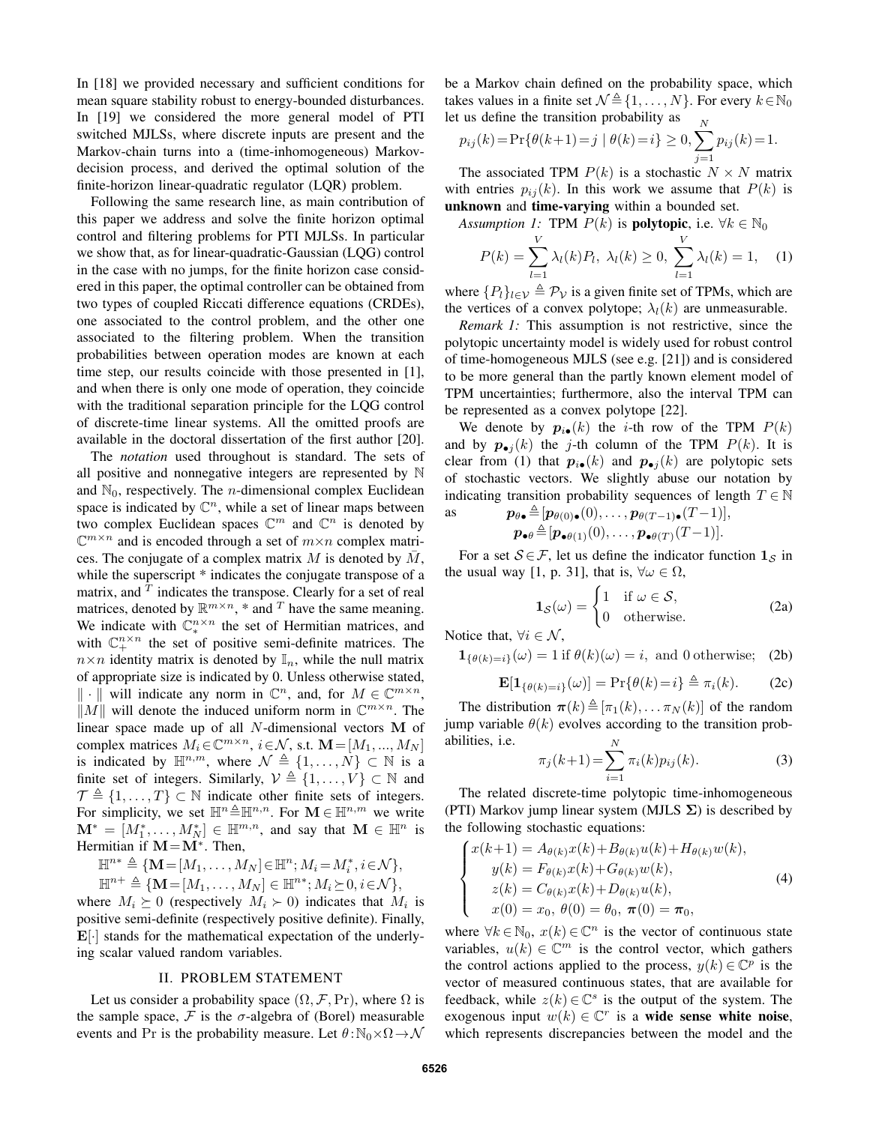In [18] we provided necessary and sufficient conditions for mean square stability robust to energy-bounded disturbances. In [19] we considered the more general model of PTI switched MJLSs, where discrete inputs are present and the Markov-chain turns into a (time-inhomogeneous) Markovdecision process, and derived the optimal solution of the finite-horizon linear-quadratic regulator (LQR) problem.

Following the same research line, as main contribution of this paper we address and solve the finite horizon optimal control and filtering problems for PTI MJLSs. In particular we show that, as for linear-quadratic-Gaussian (LQG) control in the case with no jumps, for the finite horizon case considered in this paper, the optimal controller can be obtained from two types of coupled Riccati difference equations (CRDEs), one associated to the control problem, and the other one associated to the filtering problem. When the transition probabilities between operation modes are known at each time step, our results coincide with those presented in [1], and when there is only one mode of operation, they coincide with the traditional separation principle for the LQG control of discrete-time linear systems. All the omitted proofs are available in the doctoral dissertation of the first author [20].

The *notation* used throughout is standard. The sets of all positive and nonnegative integers are represented by N and  $\mathbb{N}_0$ , respectively. The *n*-dimensional complex Euclidean space is indicated by  $\mathbb{C}^n$ , while a set of linear maps between two complex Euclidean spaces  $\mathbb{C}^m$  and  $\mathbb{C}^n$  is denoted by  $\mathbb{C}^{m \times n}$  and is encoded through a set of  $m \times n$  complex matrices. The conjugate of a complex matrix  $M$  is denoted by  $\overline{M}$ , while the superscript  $*$  indicates the conjugate transpose of a matrix, and *<sup>T</sup>* indicates the transpose. Clearly for a set of real matrices, denoted by  $\mathbb{R}^{m \times n}$ , \* and <sup>T</sup> have the same meaning. We indicate with  $\mathbb{C}_{*}^{n \times n}$  the set of Hermitian matrices, and with  $\mathbb{C}^{n \times n}_{+}$  the set of positive semi-definite matrices. The  $n \times n$  identity matrix is denoted by  $\mathbb{I}_n$ , while the null matrix of appropriate size is indicated by 0. Unless otherwise stated,  $\|\cdot\|$  will indicate any norm in  $\mathbb{C}^n$ , and, for  $M \in \mathbb{C}^{m \times n}$ ,  $\|M\|$  will denote the induced uniform norm in  $\mathbb{C}^{m \times n}$ . The  $||M||$  will denote the induced uniform norm in  $\mathbb{C}^{m \times n}$ . The  $\frac{M}{n}$ linear space made up of all N-dimensional vectors **M** of complex matrices  $M \in \mathbb{C}^{m \times n}$  i.e.  $M \in M_{\text{c}}$  at  $M = [M, M_{\text{c}}]$ complex matrices  $M_i \in \mathbb{C}^{m \times n}$ ,  $i \in \mathcal{N}$ , s.t.  $\mathbf{M} = [M_1, ..., M_N]$ is indicated by  $\mathbb{H}^{n,m}$ , where  $\mathcal{N} \triangleq \{1, \ldots, N\} \subset \mathbb{N}$  is a finite set of integers. Similarly  $\mathcal{N} \triangleq \{1, \ldots, N\} \subset \mathbb{N}$  and finite set of integers. Similarly,  $\mathcal{V} \triangleq \{1, \ldots, V\} \subset \mathbb{N}$  and  $\mathcal{T} \triangleq \{1, \ldots, V\} \subset \mathbb{N}$  indicate other finite sets of integers.  $\mathcal{T} \triangleq \{1,\ldots,T\} \subset \mathbb{N}$  indicate other finite sets of integers.<br>For simplicity, we set  $\mathbb{H}^n \triangleq \mathbb{H}^{n,n}$ . For  $\mathbf{M} \in \mathbb{H}^{n,m}$  we write For simplicity, we set  $\mathbb{H}^n \triangleq \mathbb{H}^{n,n}$ . For  $\mathbf{M} \in \mathbb{H}^{n,m}$  we write  $\mathbf{M}^* = [M_1^*, \dots, M_N^*] \in \mathbb{H}^{m,n}$ , and say that  $\mathbf{M} \in \mathbb{H}^n$  is Hermitian if  $\mathbf{M} - \mathbf{M}^*$ . Then Hermitian if  $M = M^*$ . Then,

$$
\mathbb{H}^{n*} \triangleq \{ \mathbf{M} = [M_1, \dots, M_N] \in \mathbb{H}^n; M_i = M_i^*, i \in \mathcal{N} \},
$$
  

$$
\mathbb{H}^{n+} \triangleq \{ \mathbf{M} = [M_1, \dots, M_N] \in \mathbb{H}^{n*}; M_i \succeq 0, i \in \mathcal{N} \},
$$
  
are  $M_i \succ 0$  (respectively,  $M_i \succ 0$ ) indicates that M

where  $M_i \succeq 0$  (respectively  $M_i \succ 0$ ) indicates that  $M_i$  is positive semi-definite (respectively positive definite). Finally, **E**[·] stands for the mathematical expectation of the underlying scalar valued random variables.

#### II. PROBLEM STATEMENT

Let us consider a probability space  $(\Omega, \mathcal{F}, Pr)$ , where  $\Omega$  is the sample space,  $\mathcal F$  is the  $\sigma$ -algebra of (Borel) measurable events and Pr is the probability measure. Let  $\theta : \mathbb{N}_0 \times \Omega \to \mathcal{N}$ 

be a Markov chain defined on the probability space, which takes values in a finite set  $\mathcal{N} \triangleq \{1, \ldots, N\}$ . For every  $k \in \mathbb{N}_0$ <br>let us define the transition probability as let us define the transition probability as *N*

$$
p_{ij}(k) = \Pr\{\theta(k+1) = j \mid \theta(k) = i\} \ge 0, \sum_{j=1} p_{ij}(k) = 1.
$$

The associated TPM  $P(k)$  is a stochastic  $N \times N$  matrix with entries  $p_{ij}(k)$ . In this work we assume that  $P(k)$  is unknown and time-varying within a bounded set.

*Assumption 1:* TPM  $P(k)$  is **polytopic**, i.e.  $\forall k \in \mathbb{N}_0$ 

$$
P(k) = \sum_{l=1}^{V} \lambda_l(k) P_l, \ \lambda_l(k) \ge 0, \ \sum_{l=1}^{V} \lambda_l(k) = 1, \quad (1)
$$

where  $\{P_l\}_{l \in \mathcal{V}} \triangleq \mathcal{P}_{\mathcal{V}}$  is a given finite set of TPMs, which are<br>the vertices of a convex polytone:  $\lambda_l(k)$  are unmeasurable the vertices of a convex polytope;  $\lambda_l(k)$  are unmeasurable.

*Remark 1:* This assumption is not restrictive, since the polytopic uncertainty model is widely used for robust control of time-homogeneous MJLS (see e.g. [21]) and is considered to be more general than the partly known element model of TPM uncertainties; furthermore, also the interval TPM can be represented as a convex polytope [22].

We denote by  $p_{i\bullet}(k)$  the *i*-th row of the TPM  $P(k)$ and by  $p_{\bullet j}(k)$  the *j*-th column of the TPM  $P(k)$ . It is clear from (1) that  $p_{i\bullet}(k)$  and  $p_{\bullet i}(k)$  are polytopic sets of stochastic vectors. We slightly abuse our notation by indicating transition probability sequences of length  $T \in \mathbb{N}$ <br>as  $p_{\theta \phi} \triangleq [p_{\theta(\theta)\phi}(0)]_{\theta \phi}$   $p_{\theta}(T-1)[T-1]$ .

as  
\n
$$
p_{\theta \bullet} \triangleq [p_{\theta(0)\bullet}(0), \ldots, p_{\theta(T-1)\bullet}(T-1)],
$$
\n
$$
p_{\bullet \theta} \triangleq [p_{\bullet \theta(1)}(0), \ldots, p_{\bullet \theta(T)}(T-1)].
$$

For a set  $S \in \mathcal{F}$ , let us define the indicator function  $\mathbf{1}_{S}$  in the usual way [1, p. 31], that is,  $\forall \omega \in \Omega$ ,

$$
\mathbf{1}_{\mathcal{S}}(\omega) = \begin{cases} 1 & \text{if } \omega \in \mathcal{S}, \\ 0 & \text{otherwise.} \end{cases}
$$
 (2a)

Notice that,  $\forall i \in \mathcal{N}$ ,

$$
\mathbf{1}_{\{\theta(k)=i\}}(\omega) = 1 \text{ if } \theta(k)(\omega) = i, \text{ and } 0 \text{ otherwise;} \quad \text{(2b)}
$$

$$
\mathbf{E}[\mathbf{1}_{\{\theta(k)=i\}}(\omega)] = \Pr\{\theta(k)=i\} \triangleq \pi_i(k). \tag{2c}
$$

The distribution  $\pi(k) \triangleq [\pi_1(k), \dots \pi_N(k)]$  of the random<br>np variable  $\theta(k)$  evolves according to the transition probjump variable  $\theta(k)$  evolves according to the transition probabilities, i.e. *N*

$$
\pi_j(k+1) = \sum_{i=1}^N \pi_i(k) p_{ij}(k).
$$
 (3)

The related discrete-time polytopic time-inhomogeneous (PTI) Markov jump linear system (MJLS **Σ**) is described by the following stochastic equations:

$$
\begin{cases}\nx(k+1) = A_{\theta(k)}x(k) + B_{\theta(k)}u(k) + H_{\theta(k)}w(k), \\
y(k) = F_{\theta(k)}x(k) + G_{\theta(k)}w(k), \\
z(k) = C_{\theta(k)}x(k) + D_{\theta(k)}u(k), \\
x(0) = x_0, \ \theta(0) = \theta_0, \ \pi(0) = \pi_0,\n\end{cases}
$$
\n(4)

where  $\forall k \in \mathbb{N}_0$ ,  $x(k) \in \mathbb{C}^n$  is the vector of continuous state<br>variables  $y(k) \in \mathbb{C}^m$  is the control vector, which gathers variables,  $u(k) \in \mathbb{C}^m$  is the control vector, which gathers the control actions applied to the process,  $y(k) \in \mathbb{C}^p$  is the vector of measured continuous states, that are available for feedback, while  $z(k) \in \mathbb{C}^s$  is the output of the system. The exogenous input  $w(k) \in \mathbb{C}^r$  is a **wide sense white noise**, which represents discrepancies between the model and the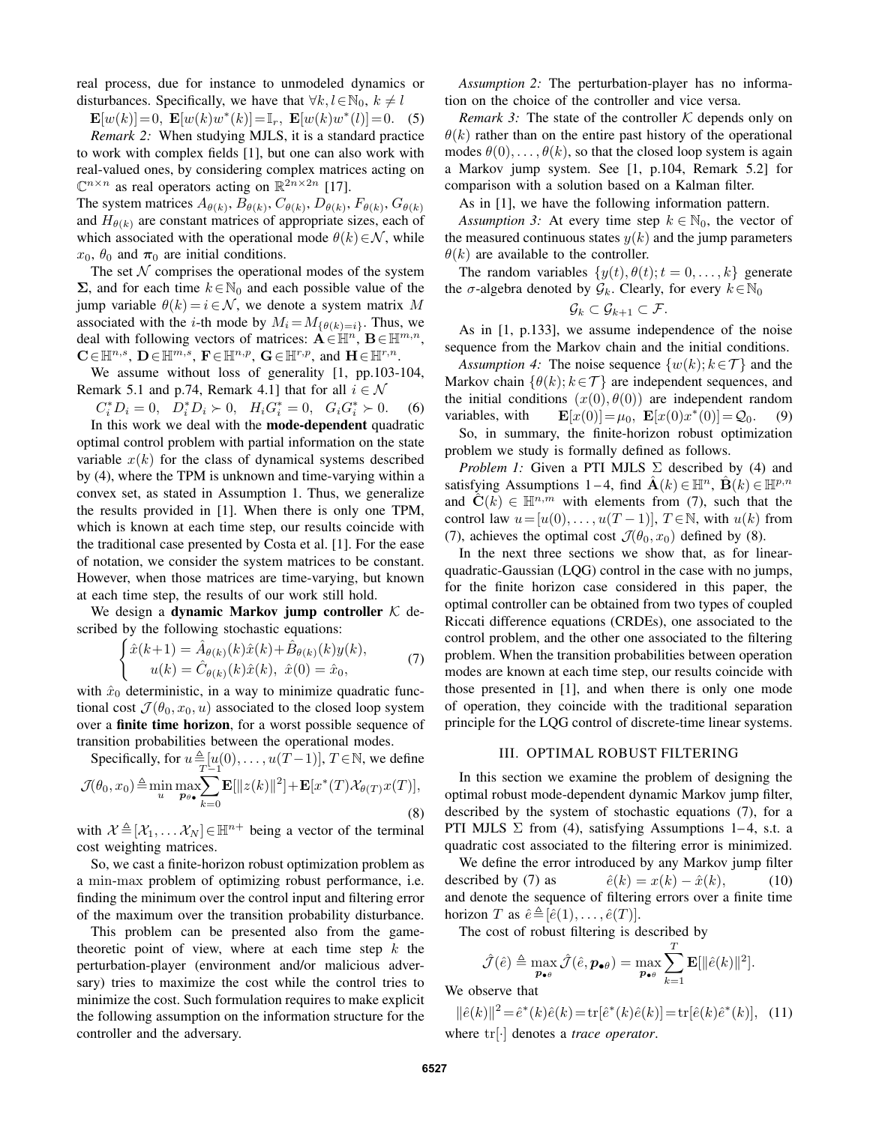real process, due for instance to unmodeled dynamics or disturbances. Specifically, we have that  $\forall k, l \in \mathbb{N}_0, k \neq l$ <br>  $\mathbf{F}[\omega(k)] = 0$ ,  $\mathbf{F}[\omega(k)\omega^*(k)] = \mathbb{I}$ ,  $\mathbf{F}[\omega(k)\omega^*(l)] = 0$ 

 $\mathbf{E}[w(k)] = 0$ ,  $\mathbf{E}[w(k)w^*(k)] = \mathbb{I}_r$ ,  $\mathbf{E}[w(k)w^*(l)] = 0$ . (5) *Remark 2:* When studying MJLS, it is a standard practice to work with complex fields [1], but one can also work with

real-valued ones, by considering complex matrices acting on  $\mathbb{C}^{n \times n}$  as real operators acting on  $\mathbb{R}^{2n \times 2n}$  [17]. The system matrices  $A_{\theta(k)}$ ,  $B_{\theta(k)}$ ,  $C_{\theta(k)}$ ,  $D_{\theta(k)}$ ,  $F_{\theta(k)}$ ,  $G_{\theta(k)}$ 

and  $H_{\theta(k)}$  are constant matrices of appropriate sizes, each of which associated with the operational mode  $\theta(k) \in \mathcal{N}$ , while  $x_0$ ,  $\theta_0$  and  $\pi_0$  are initial conditions.

The set  $N$  comprises the operational modes of the system  $Σ$ , and for each time  $k ∈ ℕ_0$  and each possible value of the jump variable  $\theta(k) = i \in \mathcal{N}$ , we denote a system matrix M associated with the *i*-th mode by  $M_i = M_{\{\theta(k)=i\}}$ . Thus, we deal with following vectors of matrices:  $\mathbf{A} \in \mathbb{H}^n$ ,  $\mathbf{B} \in \mathbb{H}^{m,n}$ ,  $\mathbf{C} \in \mathbb{H}^{n,s}$ ,  $\mathbf{D} \in \mathbb{H}^{m,s}$ ,  $\mathbf{F} \in \mathbb{H}^{n,p}$ ,  $\mathbf{G} \in \mathbb{H}^{r,p}$ , and  $\mathbf{H} \in \mathbb{H}^{r,n}$ .

We assume without loss of generality [1, pp.103-104, Remark 5.1 and p.74, Remark 4.1] that for all  $i \in \mathcal{N}$ <br> $C^*_i D_i = 0$ ,  $D^*_i D_i \succ 0$ ,  $H_i G^*_i = 0$ ,  $G_i G^*_i \succ 0$ .

$$
C_i^* D_i = 0, \quad D_i^* D_i \succ 0, \quad H_i G_i^* = 0, \quad G_i G_i^* \succ 0. \tag{6}
$$

 $C_i^* D_i = 0$ ,  $D_i^* D_i \succ 0$ ,  $H_i G_i^* = 0$ ,  $G_i G_i^* \succ 0$ . (6)<br>In this work we deal with the **mode-dependent** quadratic optimal control problem with partial information on the state variable  $x(k)$  for the class of dynamical systems described by (4), where the TPM is unknown and time-varying within a convex set, as stated in Assumption 1. Thus, we generalize the results provided in [1]. When there is only one TPM, which is known at each time step, our results coincide with the traditional case presented by Costa et al. [1]. For the ease of notation, we consider the system matrices to be constant. However, when those matrices are time-varying, but known at each time step, the results of our work still hold.

We design a dynamic Markov jump controller  $K$  described by the following stochastic equations:

$$
\begin{cases}\n\hat{x}(k+1) = \hat{A}_{\theta(k)}(k)\hat{x}(k) + \hat{B}_{\theta(k)}(k)y(k), \\
u(k) = \hat{C}_{\theta(k)}(k)\hat{x}(k), \ \hat{x}(0) = \hat{x}_0,\n\end{cases}
$$
\n(7)

with  $\hat{x}_0$  deterministic, in a way to minimize quadratic func-<br>tional cost  $\mathcal{I}(\theta_0, x_0, y)$  associated to the closed loop system tional cost  $\mathcal{J}(\theta_0, x_0, u)$  associated to the closed loop system over a finite time horizon, for a worst possible sequence of transition probabilities between the operational modes.

Specifically, for  $u \triangleq [u(0), \dots, u(T-1)]$ ,  $T \in \mathbb{N}$ , we define

$$
\mathcal{J}(\theta_0, x_0) \triangleq \min_{u} \max_{\mathcal{P}^{\theta}} \sum_{k=0}^{\infty} \mathbf{E}[\|z(k)\|^2] + \mathbf{E}[x^*(T)\mathcal{X}_{\theta(T)}x(T)],
$$
\n(8)

with  $\mathcal{X} \triangleq [\mathcal{X}_1, \dots \mathcal{X}_N] \in \mathbb{H}^{n+}$  being a vector of the terminal cost weighting matrices cost weighting matrices.

So, we cast a finite-horizon robust optimization problem as a min-max problem of optimizing robust performance, i.e. finding the minimum over the control input and filtering error of the maximum over the transition probability disturbance.

This problem can be presented also from the gametheoretic point of view, where at each time step  $k$  the perturbation-player (environment and/or malicious adversary) tries to maximize the cost while the control tries to minimize the cost. Such formulation requires to make explicit the following assumption on the information structure for the controller and the adversary.

*Assumption 2:* The perturbation-player has no information on the choice of the controller and vice versa.

*Remark 3:* The state of the controller  $K$  depends only on  $\theta(k)$  rather than on the entire past history of the operational modes  $\theta(0), \ldots, \theta(k)$ , so that the closed loop system is again a Markov jump system. See [1, p.104, Remark 5.2] for comparison with a solution based on a Kalman filter.

As in [1], we have the following information pattern.

*Assumption 3:* At every time step  $k \in \mathbb{N}_0$ , the vector of the measured continuous states  $y(k)$  and the jump parameters  $\theta(k)$  are available to the controller.

The random variables  $\{y(t), \theta(t); t = 0, \ldots, k\}$  generate the  $\sigma$ -algebra denoted by  $\mathcal{G}_k$ . Clearly, for every  $k \in \mathbb{N}_0$ 

$$
\mathcal{G}_k \subset \mathcal{G}_{k+1} \subset \mathcal{F}.
$$

 $\mathcal{G}_k \subset \mathcal{G}_{k+1} \subset \mathcal{F}$ .<br>As in [1, p.133], we assume independence of the noise sequence from the Markov chain and the initial conditions.

*Assumption 4:* The noise sequence  $\{w(k); k \in \mathcal{T}\}\$ and the Markov chain  $\{\theta(k); k \in \mathcal{T}\}$  are independent sequences, and the initial conditions  $(x(0), \theta(0))$  are independent random<br>variables, with  $\mathbf{E}[x(0)] = \mu_0$ ,  $\mathbf{E}[x(0)x^*(0)] = \mathcal{Q}_0$ . (9) variables, with  $\mathbf{E}[x(0)] = \mu_0$ ,  $\mathbf{E}[x(0)x^*(0)] = \mathcal{Q}_0$ . (9)<br>So, in summary, the finite-horizon robust optimization

problem we study is formally defined as follows.

*Problem 1:* Given a PTI MJLS  $\Sigma$  described by (4) and satisfying Assumptions 1 – 4, find  $\mathbf{A}(\mathbf{k}) \in \mathbb{H}^n$ ,  $\mathbf{B}(\mathbf{k}) \in \mathbb{H}^{p,n}$ and  $\mathbf{C}(k) \in \mathbb{H}^{n,m}$  with elements from (7), such that the control law  $u=[u(0),...,u(T-1)], T \in \mathbb{N}$ , with  $u(k)$  from (7), achieves the optimal cost  $\mathcal{J}(\theta_0, x_0)$  defined by (8).

In the next three sections we show that, as for linearquadratic-Gaussian (LQG) control in the case with no jumps, for the finite horizon case considered in this paper, the optimal controller can be obtained from two types of coupled Riccati difference equations (CRDEs), one associated to the control problem, and the other one associated to the filtering problem. When the transition probabilities between operation modes are known at each time step, our results coincide with those presented in [1], and when there is only one mode of operation, they coincide with the traditional separation principle for the LQG control of discrete-time linear systems.

### III. OPTIMAL ROBUST FILTERING

In this section we examine the problem of designing the optimal robust mode-dependent dynamic Markov jump filter, described by the system of stochastic equations (7), for a PTI MJLS  $\Sigma$  from (4), satisfying Assumptions 1–4, s.t. a quadratic cost associated to the filtering error is minimized.

We define the error introduced by any Markov jump filter described by (7) as  $\hat{e}(k) = x(k) - \hat{x}(k)$ , (10)<br>and denote the sequence of filtering errors over a finite time horizon T as  $\hat{e} \triangleq [\hat{e}(1), \dots, \hat{e}(T)].$ <br>The cost of robust filtering is d

The cost of robust filtering is described by

$$
\hat{\mathcal{J}}(\hat{e}) \triangleq \max_{\mathbf{p}_{\bullet \theta}} \hat{\mathcal{J}}(\hat{e}, \mathbf{p}_{\bullet \theta}) = \max_{\mathbf{p}_{\bullet \theta}} \sum_{k=1}^{T} \mathbf{E}[\|\hat{e}(k)\|^2].
$$

We observe that

$$
\|\hat{e}(k)\|^2 = \hat{e}^*(k)\hat{e}(k) = \text{tr}[\hat{e}^*(k)\hat{e}(k)] = \text{tr}[\hat{e}(k)\hat{e}^*(k)], \quad (11)
$$
  
where  $\text{tr}[\cdot]$  denotes a *trace operator*.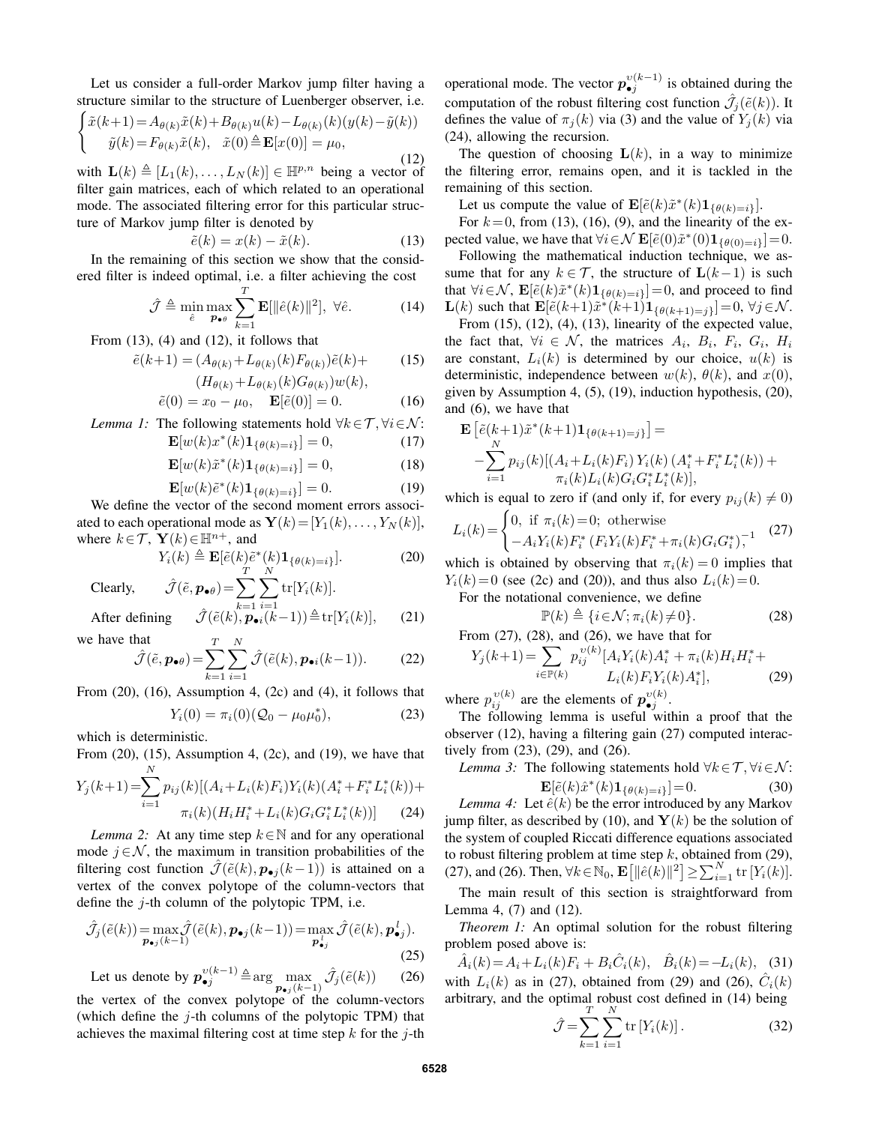Let us consider a full-order Markov jump filter having a structure similar to the structure of Luenberger observer, i.e.

$$
\begin{cases} \tilde{x}(k+1) = A_{\theta(k)}\tilde{x}(k) + B_{\theta(k)}u(k) - L_{\theta(k)}(k)(y(k) - \tilde{y}(k)) \\ \tilde{y}(k) = F_{\theta(k)}\tilde{x}(k), \quad \tilde{x}(0) \triangleq \mathbf{E}[x(0)] = \mu_0, \end{cases}
$$
 (12)

(12) with  $\mathbf{L}(k) \triangleq [L_1(k), \ldots, L_N(k)] \in \mathbb{H}^{p,n}$  being a vector of filter gain matrices, each of which related to an operational filter gain matrices, each of which related to an operational mode. The associated filtering error for this particular structure of Markov jump filter is denoted by

$$
\tilde{e}(k) = x(k) - \tilde{x}(k). \tag{13}
$$

 $\tilde{e}(k) = x(k) - \tilde{x}(k).$ (13)<br>In the remaining of this section we show that the considered filter is indeed optimal, i.e. a filter achieving the cost

$$
\hat{\mathcal{J}} \triangleq \min_{\hat{e}} \max_{\mathbf{p}_{\bullet\theta}} \sum_{k=1}^{T} \mathbf{E}[\|\hat{e}(k)\|^2], \ \forall \hat{e}.
$$
 (14)

From  $(13)$ ,  $(4)$  and  $(12)$ , it follows that

$$
\tilde{e}(k+1) = (A_{\theta(k)} + L_{\theta(k)}(k)F_{\theta(k)})\tilde{e}(k) + (15)
$$

$$
(H_{\theta(k)} + L_{\theta(k)}(k)G_{\theta(k)})w(k),
$$
  
\n
$$
\tilde{e}(0) = x_0 - \mu_0, \quad \mathbf{E}[\tilde{e}(0)] = 0.
$$
 (16)

Lemma 1: The following statements hold 
$$
\forall k \in \mathcal{T}, \forall i \in \mathcal{N}
$$
:  

$$
\mathbf{F}[w(k)x^*(k)\mathbf{1}, \dots, k] = 0
$$
 (17)

$$
\mathbf{E}[w(k)x^*(k)\mathbf{1}_{\{\theta(k)=i\}}] = 0,\t(17)
$$

$$
\mathbf{E}[w(k)\tilde{x}^*(k)\mathbf{1}_{\{\theta(k)=i\}}] = 0,\t(18)
$$

$$
\mathbf{E}[w(k)\tilde{e}^*(k)\mathbf{1}_{\text{conv}}] = 0\tag{10}
$$

 $\mathbf{E}[w(k)\tilde{e}^*(k)\mathbf{1}_{\{\theta(k)=i\}}] = 0.$  (19)<br>We define the vector of the second moment errors associated to each operational mode as  $\mathbf{Y}(k)=[Y_1(k),...,Y_N(k)],$ where  $k \in \mathcal{T}$ ,  $\mathbf{Y}(k) \in \mathbb{H}^{n+}$ , and

$$
Y_i(k) \triangleq \mathbf{E}[\tilde{e}(k)\tilde{e}^*(k)\mathbf{1}_{\{\theta(k)=i\}}].
$$
 (20)

Clearly, 
$$
\hat{\mathcal{J}}(\tilde{e}, \mathbf{p}_{\bullet \theta}) = \sum_{k=1}^{N} \sum_{i=1}^{N} tr[Y_i(k)].
$$

After defining 
$$
\hat{\mathcal{J}}(\tilde{e}(k), \mathbf{p}_{\bullet i}(k-1)) \triangleq \text{tr}[Y_i(k)],
$$
 (21)

we have that

$$
\hat{\mathcal{J}}(\tilde{e}, \mathbf{p}_{\bullet \theta}) = \sum_{k=1}^{T} \sum_{i=1}^{N} \hat{\mathcal{J}}(\tilde{e}(k), \mathbf{p}_{\bullet i}(k-1)).
$$
 (22)

From (20), (16), Assumption 4, (2c) and (4), it follows that

$$
Y_i(0) = \pi_i(0)(Q_0 - \mu_0 \mu_0^*), \tag{23}
$$

which is deterministic.

From  $(20)$ ,  $(15)$ , Assumption 4,  $(2c)$ , and  $(19)$ , we have that *N*

$$
Y_j(k+1) = \sum_{i=1} p_{ij}(k) [(A_i + L_i(k)F_i)Y_i(k)(A_i^* + F_i^* L_i^*(k)) + \pi_i(k)(H_i H_i^* + L_i(k)G_i G_i^* L_i^*(k))]
$$
(24)

*Lemma 2:* At any time step  $k \in \mathbb{N}$  and for any operational ode  $i \in \mathcal{N}$  the maximum in transition probabilities of the mode  $j \in \mathcal{N}$ , the maximum in transition probabilities of the filtering cost function  $\mathcal{J}(\tilde{e}(k), p_{\bullet j}(k-1))$  is attained on a vertex of the convex polytope of the column-vectors that define the  $i$ -th column of the polytopic TPM, i.e.

$$
\hat{\mathcal{J}}_{j}(\tilde{e}(k)) = \max_{\mathbf{p}_{\bullet j}(k-1)} \hat{\mathcal{J}}(\tilde{e}(k), \mathbf{p}_{\bullet j}(k-1)) = \max_{\mathbf{p}_{\bullet j}^l} \hat{\mathcal{J}}(\tilde{e}(k), \mathbf{p}_{\bullet j}^l). \tag{25}
$$

Let us denote by 
$$
p_{\bullet j}^{v(k-1)} \triangleq \arg \max_{p_{\bullet j}(k-1)} \hat{\mathcal{J}}_j(\tilde{e}(k))
$$
 (26)  
the vertex of the convex polytope of the column-vectors  
(which define the *j*-th columns of the polytopic TPM) that  
achieves the maximal filtering cost at time step *k* for the *j*-th

achieves the maximal filtering cost at time step  $k$  for the  $j$ -th

operational mode. The vector  $p_{\bullet j}^{v(k-1)}$  is obtained during the computation of the robust filtering cost function  $\hat{\mathcal{J}}_j(\tilde{e}(k))$ . It defines the value of  $\pi_1(k)$  via (3) and the value of  $Y_k(k)$  via defines the value of  $\pi_j(k)$  via (3) and the value of  $Y_j(k)$  via (24), allowing the recursion.

The question of choosing  $L(k)$ , in a way to minimize the filtering error, remains open, and it is tackled in the remaining of this section.

Let us compute the value of  $\mathbf{E}[\tilde{e}(k)\tilde{x}^*(k)\mathbf{1}_{\{\theta(k)=i\}}].$ 

For  $k = 0$ , from (13), (16), (9), and the linearity of the expected value, we have that  $\forall i \in \mathcal{N}$   $\mathbf{E}[\tilde{e}(0)\tilde{x}^*(0)\mathbf{1}_{\{\theta(0)=i\}}]=0.$ 

Following the mathematical induction technique, we assume that for any  $k \in \mathcal{T}$ , the structure of  $\mathbf{L}(k-1)$  is such that  $\forall i \in \mathcal{N}$ ,  $\mathbf{E}[\tilde{e}(k)\tilde{x}^*(k)\mathbf{1}_{\{\theta(k)=i\}}]=0$ , and proceed to find **L**(*k*) such that  $\mathbf{E}[\tilde{e}(k+1)\tilde{x}^*(k+1)\mathbf{1}_{\{\theta(k+1)=j\}}]=0, \forall j \in \mathcal{N}$ .

From  $(15)$ ,  $(12)$ ,  $(4)$ ,  $(13)$ , linearity of the expected value, the fact that,  $\forall i \in \mathcal{N}$ , the matrices  $A_i$ ,  $B_i$ ,  $F_i$ ,  $G_i$ ,  $H_i$ are constant,  $L<sub>i</sub>(k)$  is determined by our choice,  $u(k)$  is deterministic, independence between  $w(k)$ ,  $\theta(k)$ , and  $x(0)$ , given by Assumption 4, (5), (19), induction hypothesis, (20), and (6), we have that

$$
\mathbf{E}\left[\tilde{e}(k+1)\tilde{x}^*(k+1)\mathbf{1}_{\{\theta(k+1)=j\}}\right] =
$$
\n
$$
-\sum_{i=1}^{N} p_{ij}(k)[(A_i + L_i(k)F_i)Y_i(k)(A_i^* + F_i^*L_i^*(k)) +
$$
\nwith is equal to zero if (and only if for every  $x = 0, 1, 2, \dots$ )

which is equal to zero if (and only if, for every  $p_{ij}(k) \neq 0$ )

$$
L_i(k) = \begin{cases} 0, & \text{if } \pi_i(k) = 0; \text{ otherwise} \\ -A_i Y_i(k) F_i^* (F_i Y_i(k) F_i^* + \pi_i(k) G_i G_i^*)^{-1} \end{cases}
$$
 (27)

which is obtained by observing that  $\pi_i(k) = 0$  implies that  $Y(k) = 0$  (see (2c) and (20)) and thus also  $L(k) = 0$  $Y_i(k)=0$  (see (2c) and (20)), and thus also  $L_i(k)=0$ .

For the notational convenience, we define

$$
\mathbb{P}(k) \triangleq \{i \in \mathcal{N}; \pi_i(k) \neq 0\}.
$$
\n(28)

 $\mathbb{P}(k) \triangleq \{i \in \mathcal{N}; \pi_i(k) \neq 0\}.$ <br>From (27), (28), and (26), we have that for

$$
Y_j(k+1) = \sum_{i \in \mathbb{P}(k)} p_{ij}^{v(k)} [A_i Y_i(k) A_i^* + \pi_i(k) H_i H_i^* + L_i(k) H_i H_i^*]
$$
\n
$$
L_i(k) F_i Y_i(k) A_i^*],
$$
\n(29)

where  $p_{ij}^{v(k)}$  are the elements of  $p_{\bullet j}^{v(k)}$ .<br>The following lemma is useful with

The following lemma is useful within a proof that the observer (12), having a filtering gain (27) computed interactively from (23), (29), and (26).

Lemma 3: The following statements hold 
$$
\forall k \in \mathcal{T}, \forall i \in \mathcal{N}
$$
:  
\n
$$
\mathbf{E}[\tilde{e}(k)\hat{x}^*(k)\mathbf{1}_{\{a(k)-i\}}] = 0.
$$
\n(30)

 $\mathbf{E}[\tilde{e}(k)\hat{x}^*(k)\mathbf{1}_{\{\theta(k)=i\}}]=0.$  (30)<br>t  $\hat{e}(k)$  be the error introduced by any Markov *Lemma 4:* Let  $\hat{e}(k)$  be the error introduced by any Markov<br>np filter as described by (10) and  $\mathbf{V}(k)$  be the solution of jump filter, as described by (10), and  $Y(k)$  be the solution of the system of coupled Riccati difference equations associated to robust filtering problem at time step k, obtained from (29),<br>(27) and (26) Then  $\forall k \in \mathbb{N}_0$ ,  $\mathbf{E}[\|\hat{\mathbf{z}}(k)\|^2] > \sum_{k=1}^{N} \mathbf{E}[V(k)]$ (27), and (26). Then,  $\forall k \in \mathbb{N}_0$ ,  $\mathbf{E}[\|\hat{e}(k)\|^2] \ge \sum_{i=1}^{N} \text{tr}[Y_i(k)].$ 

The main result of this section is straightforward from Lemma 4, (7) and (12).

*Theorem 1:* An optimal solution for the robust filtering problem posed above is:

$$
\hat{A}_i(k) = A_i + L_i(k)F_i + B_i \hat{C}_i(k), \quad \hat{B}_i(k) = -L_i(k), \quad (31)
$$
\nwith  $L_i(k)$  as in (27), obtained from (29) and (26),  $\hat{C}_i(k)$  arbitrary, and the optimal robust cost defined in (14) being

$$
\hat{\mathcal{J}} = \sum_{k=1}^{T} \sum_{i=1}^{N} \text{tr}\left[Y_i(k)\right].
$$
 (32)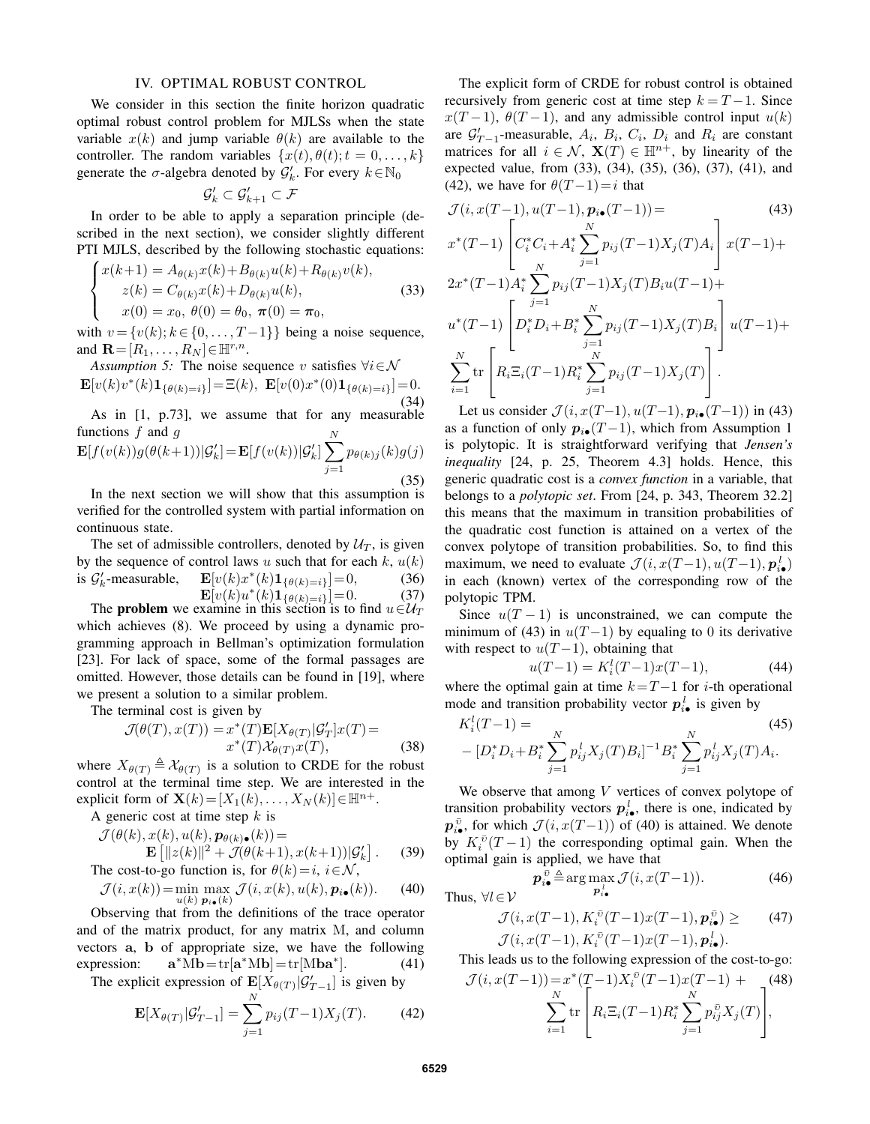#### IV. OPTIMAL ROBUST CONTROL

We consider in this section the finite horizon quadratic optimal robust control problem for MJLSs when the state variable  $x(k)$  and jump variable  $\theta(k)$  are available to the controller. The random variables  $\{x(t), \theta(t); t = 0, \ldots, k\}$ generate the  $\sigma$ -algebra denoted by  $\mathcal{G}'_k$ . For every  $k \in \mathbb{N}_0$ 

$$
\mathcal{G}'_k \subset \mathcal{G}'_{k+1} \subset \mathcal{F}
$$

In order to be able to apply a separation principle (described in the next section), we consider slightly different PTI MJLS, described by the following stochastic equations:

$$
\begin{cases}\nx(k+1) = A_{\theta(k)}x(k) + B_{\theta(k)}u(k) + R_{\theta(k)}v(k), \\
z(k) = C_{\theta(k)}x(k) + D_{\theta(k)}u(k), \\
x(0) = x_0, \ \theta(0) = \theta_0, \ \pi(0) = \pi_0,\n\end{cases}
$$
\n(33)

with  $v = \{v(k); k \in \{0, \ldots, T-1\}\}$  being a noise sequence,<br>and  $\mathbf{B} = [B, B_{\infty}] \in \mathbb{H}^{r,n}$ and  $\mathbf{R}=[R_1,\ldots,R_N] \in \mathbb{H}^{r,n}$ .

*Assumption 5:* The noise sequence v satisfies  $\forall i \in \mathcal{N}$  $\mathbf{E}[v(k)v^*(k)\mathbf{1}_{\{\theta(k)=i\}}]=\Xi(k), \ \mathbf{E}[v(0)x^*(0)\mathbf{1}_{\{\theta(k)=i\}}]=0.$ (34)

As in [1, p.73], we assume that for any measurable functions  $f$  and  $q$ 

functions *f* and *g*  
\n
$$
\mathbf{E}[f(v(k))g(\theta(k+1))|\mathcal{G}'_k] = \mathbf{E}[f(v(k))|\mathcal{G}'_k] \sum_{j=1}^{N} p_{\theta(k)j}(k)g(j)
$$
\nIn the next section, we will show that this asymptotic

In the next section we will show that this assumption is verified for the controlled system with partial information on continuous state.

The set of admissible controllers, denoted by  $U_T$ , is given by the sequence of control laws u such that for each k,  $u(k)$ <br>is  $\mathcal{G}'_k$ -measurable,  $\mathbf{E}[v(k)x^*(k)\mathbf{1}_{\{\theta(k)=i\}}]=0$ , (36) is  $G'_{k}$ -measurable,  $\mathbf{E}[v(k)x^*(k)\mathbf{1}_{\{\theta(k)=i\}}]=0,$  (36)<br>  $\mathbf{E}[v(k)u^*(k)\mathbf{1}_{\{\theta(k)=i\}}]=0.$  (37)

 $\mathbf{E}[v(k)u^*(k)\mathbf{1}_{\{\theta(k)=i\}}]=0.$  (37)<br>xamine in this section is to find  $u \in \mathcal{U}_T$ The **problem** we examine in this section is to find  $u \in U_T$ <br>ich achieves (8) We proceed by using a dynamic prowhich achieves (8). We proceed by using a dynamic programming approach in Bellman's optimization formulation [23]. For lack of space, some of the formal passages are omitted. However, those details can be found in [19], where we present a solution to a similar problem.

The terminal cost is given by

$$
\mathcal{J}(\theta(T), x(T)) = x^*(T) \mathbf{E}[X_{\theta(T)} | \mathcal{G}'_T] x(T) =
$$
  

$$
x^*(T) \mathcal{X}_{\theta(T)} x(T),
$$
 (38)

where  $X_{\theta(T)} \triangleq \mathcal{X}_{\theta(T)}$  is a solution to CRDE for the robust<br>control at the terminal time step. We are interested in the control at the terminal time step. We are interested in the explicit form of  $\mathbf{X}(k)=[X_1(k),\ldots,X_N(k)]\in\mathbb{H}^{n+}.$ 

A generic cost at time step k is

$$
\mathcal{J}(\theta(k), x(k), u(k), \mathbf{p}_{\theta(k)\bullet}(k)) =
$$
  
**F**:  $\left[||\mathbf{x}(k)||^2 + \mathcal{J}(\theta(k+1))\right]$ 

$$
\mathbf{E}\left[\|z(k)\|^2 + \mathcal{J}(\theta(k+1), x(k+1))\|S'_k\right].
$$
 (39)  
cost-to-oo function is for  $\theta(k) - i$   $i \in \mathcal{N}$ 

The cost-to-go function is, for 
$$
\theta(k) = i
$$
,  $i \in \mathcal{N}$ ,  
\n
$$
\mathcal{J}(i, x(k)) = \min_{u(k)} \max_{\mathbf{p}_{i\bullet}(k)} \mathcal{J}(i, x(k), u(k), \mathbf{p}_{i\bullet}(k)).
$$
\n(40)

 $p_i(k)$   $p_i(k)$ <br>Observing that from the definitions of the trace operator and of the matrix product, for any matrix M, and column vectors **a**, **b** of appropriate size, we have the following expression:  $\mathbf{a}^* \mathbf{M} \mathbf{b} = \text{tr}[\mathbf{a}^* \mathbf{M} \mathbf{b}] = \text{tr}[\mathbf{M} \mathbf{b} \mathbf{a}^*].$  (41)

The explicit expression of  $\mathbf{E}[X_{\theta(T)}|\mathcal{G}'_{T-1}]$  is given by

$$
\mathbf{E}[X_{\theta(T)}|\mathcal{G}'_{T-1}] = \sum_{j=1}^{N} p_{ij}(T-1)X_j(T). \tag{42}
$$

The explicit form of CRDE for robust control is obtained recursively from generic cost at time step  $k = T - 1$ . Since  $x(T-1)$ ,  $\theta(T-1)$ , and any admissible control input  $u(k)$ are  $G'_{T-1}$ -measurable,  $A_i$ ,  $B_i$ ,  $C_i$ ,  $D_i$  and  $R_i$  are constant<br>matrices for all  $i \in \mathcal{N}$ ,  $\mathbf{X}(T) \in \mathbb{H}^{n+}$  by linearity of the matrices for all  $i \in \mathcal{N}$ ,  $\mathbf{X}(T) \in \mathbb{H}^{n+}$ , by linearity of the expected value, from (33), (34), (35), (36), (37), (41), and (42), we have for  $\theta(T-1)=i$  that

$$
\mathcal{J}(i, x(T-1), u(T-1), p_{i\bullet}(T-1)) = (43)
$$
\n
$$
x^*(T-1) \left[ C_i^* C_i + A_i^* \sum_{j=1}^N p_{ij}(T-1) X_j(T) A_i \right] x(T-1) +
$$
\n
$$
2x^*(T-1) A_i^* \sum_{j=1}^N p_{ij}(T-1) X_j(T) B_i u(T-1) +
$$
\n
$$
u^*(T-1) \left[ D_i^* D_i + B_i^* \sum_{j=1}^N p_{ij}(T-1) X_j(T) B_i \right] u(T-1) +
$$
\n
$$
\sum_{i=1}^N \text{tr} \left[ R_i \Xi_i(T-1) R_i^* \sum_{j=1}^N p_{ij}(T-1) X_j(T) \right].
$$
\n(43)

Let us consider  $\mathcal{J}(i, x(T-1), u(T-1), p_{i\bullet}(T-1))$  in (43) as a function of only  $p_{i\bullet}(T-1)$ , which from Assumption 1 is polytopic. It is straightforward verifying that *Jensen's inequality* [24, p. 25, Theorem 4.3] holds. Hence, this generic quadratic cost is a *convex function* in a variable, that belongs to a *polytopic set*. From [24, p. 343, Theorem 32.2] this means that the maximum in transition probabilities of the quadratic cost function is attained on a vertex of the convex polytope of transition probabilities. So, to find this maximum, we need to evaluate  $\mathcal{J}(i, x(T-1), u(T-1), p_{i\bullet})$ <br>in each (known) vertex of the corresponding row of the in each (known) vertex of the corresponding row of the polytopic TPM.

Since  $u(T - 1)$  is unconstrained, we can compute the minimum of (43) in  $u(T-1)$  by equaling to 0 its derivative with respect to  $u(T-1)$ , obtaining that

$$
u(T-1) = K_t^l(T-1)x(T-1),
$$
\n(44)

\nand coin at time  $l$ ,  $T$ ,  $l$  for  $i$  the experimental

where the optimal gain at time  $k=T-1$  for *i*-th operational<br>mode and transition probability vector  $n^l$  is given by mode and transition probability vector  $p_{i\bullet}^l$  is given by

$$
K_i^l(T-1) = \n\begin{cases} \n-K_i^l(T-1) = \n\end{cases} \tag{45}
$$
\n
$$
- [D_i^* D_i + B_i^* \sum_{j=1}^N p_{ij}^l X_j(T) B_i]^{-1} B_i^* \sum_{j=1}^N p_{ij}^l X_j(T) A_i.
$$

We observe that among  $V$  vertices of convex polytope of transition probability vectors  $p^l_{i\bullet}$ , there is one, indicated by  $p_{\psi}^{\bar{v}}$ , for which  $\mathcal{J}(i, x(T-1))$  of (40) is attained. We denote by  $K_i^{\bar{v}}(T-1)$  the corresponding optimal gain. When the optimal gain is applied we have that optimal gain is applied, we have that

$$
\mathbf{p}_{i\bullet}^{\bar{v}} \triangleq \arg \max_{\mathbf{p}_{i\bullet}^l} \mathcal{J}(i, x(T-1)). \tag{46}
$$
  
Thus,  $\forall l \in \mathcal{V}$ 

$$
\mathcal{J}(i, x(T-1), K_i^{\bar{v}}(T-1)x(T-1), p_{i\bullet}^{\bar{v}}) \geq (47)
$$
  

$$
\mathcal{J}(i, x(T-1), K_i^{\bar{v}}(T-1)x(T-1), p_{i\bullet}^l).
$$

This leads us to the following expression of the cost-to-go:

$$
\mathcal{J}(i, x(T-1)) = x^*(T-1)X_i^{\bar{v}}(T-1)x(T-1) + \sum_{i=1}^N \text{tr}\left[R_i\Xi_i(T-1)R_i^*\sum_{j=1}^N p_{ij}^{\bar{v}}X_j(T)\right],
$$
\n(48)